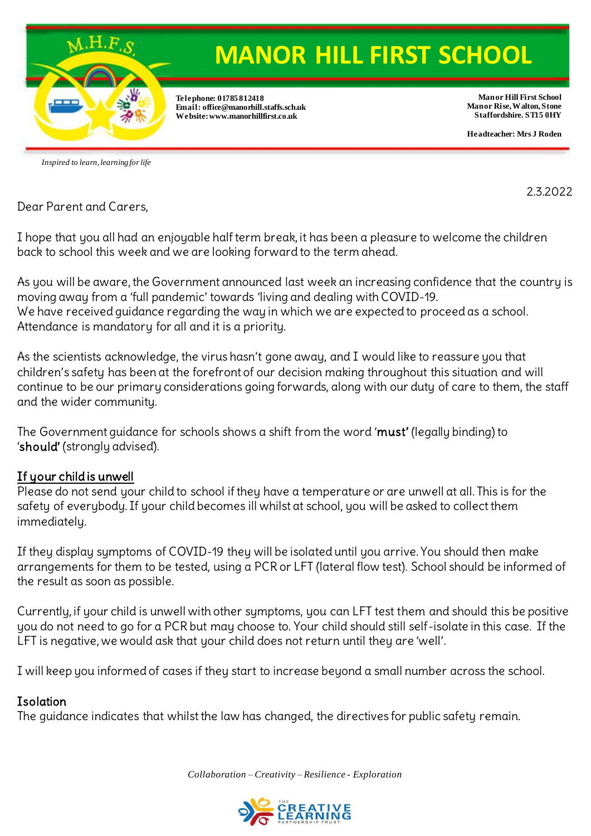

# **MANOR HILL FIRST SCHOOL**

**Telephone: 01785 812418 Email: office@manorhill.staffs.sch.uk Website: www.manorhillfirst.co.uk**

**Manor Hill First School Manor Rise, Walton, Stone Staffordshire. ST15 0HY**

**Headteacher: Mrs J Roden**

*Inspired to learn, learning for life*

2.3.2022

Dear Parent and Carers,

I hope that you all had an enjoyable half term break, it has been a pleasure to welcome the children back to school this week and we are looking forward to the term ahead.

As you will be aware, the Government announced last week an increasing confidence that the country is moving away from a 'full pandemic' towards 'living and dealing with COVID-19. We have received guidance regarding the way in which we are expected to proceed as a school. Attendance is mandatory for all and it is a priority.

As the scientists acknowledge, the virus hasn't gone away, and I would like to reassure you that children's safety has been at the forefront of our decision making throughout this situation and will continue to be our primary considerations going forwards, along with our duty of care to them, the staff and the wider community.

The Government guidance for schools shows a shift from the word 'must' (legally binding) to 'should' (strongly advised).

# If your child is unwell

Please do not send your child to school if they have a temperature or are unwell at all. This is for the safety of everybody. If your child becomes ill whilst at school, you will be asked to collect them immediately.

If they display symptoms of COVID-19 they will be isolated until you arrive. You should then make arrangements for them to be tested, using a PCR or LFT (lateral flow test). School should be informed of the result as soon as possible.

Currently, if your child is unwell with other symptoms, you can LFT test them and should this be positive you do not need to go for a PCR but may choose to. Your child should still self-isolate in this case. If the LFT is negative, we would ask that your child does not return until they are 'well'.

I will keep you informed of cases if they start to increase beyond a small number across the school.

# **Isolation**

The guidance indicates that whilst the law has changed, the directives for public safety remain.

*Collaboration – Creativity – Resilience - Exploration* 

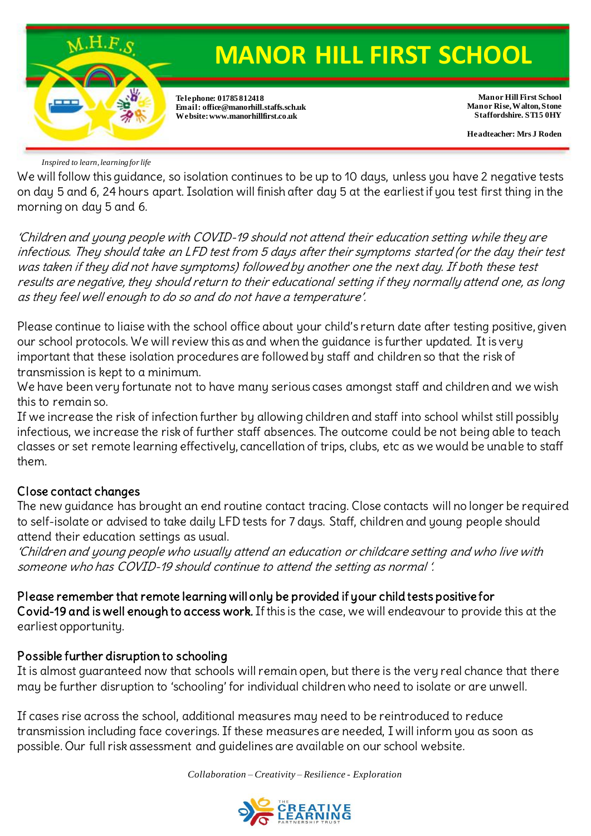

*Inspired to learn, learning for life*

We will follow this guidance, so isolation continues to be up to 10 days, unless you have 2 negative tests on day 5 and 6, 24 hours apart. Isolation will finish after day 5 at the earliest if you test first thing in the morning on day 5 and 6.

'Children and young people with COVID-19 should not attend their education setting while they are infectious. They should take an LFD test from 5 days after their symptoms started (or the day their test was taken if they did not have symptoms) followed by another one the next day. If both these test results are negative, they should return to their educational setting if they normally attend one, as long as they feel well enough to do so and do not have a temperature'.

Please continue to liaise with the school office about your child's return date after testing positive, given our school protocols. We will review this as and when the guidance is further updated. It is very important that these isolation procedures are followed by staff and children so that the risk of transmission is kept to a minimum.

We have been very fortunate not to have many serious cases amongst staff and children and we wish this to remain so.

If we increase the risk of infection further by allowing children and staff into school whilst still possibly infectious, we increase the risk of further staff absences. The outcome could be not being able to teach classes or set remote learning effectively, cancellation of trips, clubs, etc as we would be unable to staff them.

### Close contact changes

The new guidance has brought an end routine contact tracing. Close contacts will no longer be required to self-isolate or advised to take daily LFD tests for 7 days. Staff, children and young people should attend their education settings as usual.

'Children and young people who usually attend an education or childcare setting and who live with someone who has COVID-19 should continue to attend the setting as normal '.

Please remember that remote learning will only be provided if your child tests positive for Covid-19 and is well enough to access work. If this is the case, we will endeavour to provide this at the earliest opportunity.

### Possible further disruption to schooling

It is almost guaranteed now that schools will remain open, but there is the very real chance that there may be further disruption to 'schooling' for individual children who need to isolate or are unwell.

If cases rise across the school, additional measures may need to be reintroduced to reduce transmission including face coverings. If these measures are needed, I will inform you as soon as possible. Our full risk assessment and guidelines are available on our school website.

*Collaboration – Creativity – Resilience - Exploration*